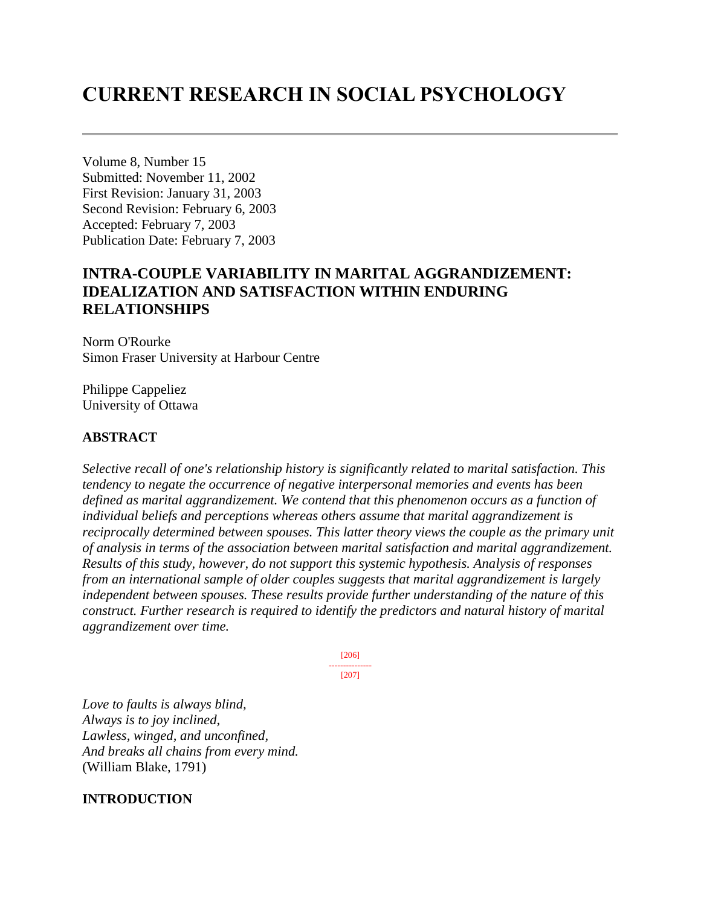# **CURRENT RESEARCH IN SOCIAL PSYCHOLOGY**

Volume 8, Number 15 Submitted: November 11, 2002 First Revision: January 31, 2003 Second Revision: February 6, 2003 Accepted: February 7, 2003 Publication Date: February 7, 2003

# **INTRA-COUPLE VARIABILITY IN MARITAL AGGRANDIZEMENT: IDEALIZATION AND SATISFACTION WITHIN ENDURING RELATIONSHIPS**

Norm O'Rourke Simon Fraser University at Harbour Centre

Philippe Cappeliez University of Ottawa

### **ABSTRACT**

*Selective recall of one's relationship history is significantly related to marital satisfaction. This tendency to negate the occurrence of negative interpersonal memories and events has been defined as marital aggrandizement. We contend that this phenomenon occurs as a function of individual beliefs and perceptions whereas others assume that marital aggrandizement is reciprocally determined between spouses. This latter theory views the couple as the primary unit of analysis in terms of the association between marital satisfaction and marital aggrandizement. Results of this study, however, do not support this systemic hypothesis. Analysis of responses from an international sample of older couples suggests that marital aggrandizement is largely independent between spouses. These results provide further understanding of the nature of this construct. Further research is required to identify the predictors and natural history of marital aggrandizement over time.*

> [206] --------------- [207]

*Love to faults is always blind, Always is to joy inclined, Lawless, winged, and unconfined, And breaks all chains from every mind.* (William Blake, 1791)

### **INTRODUCTION**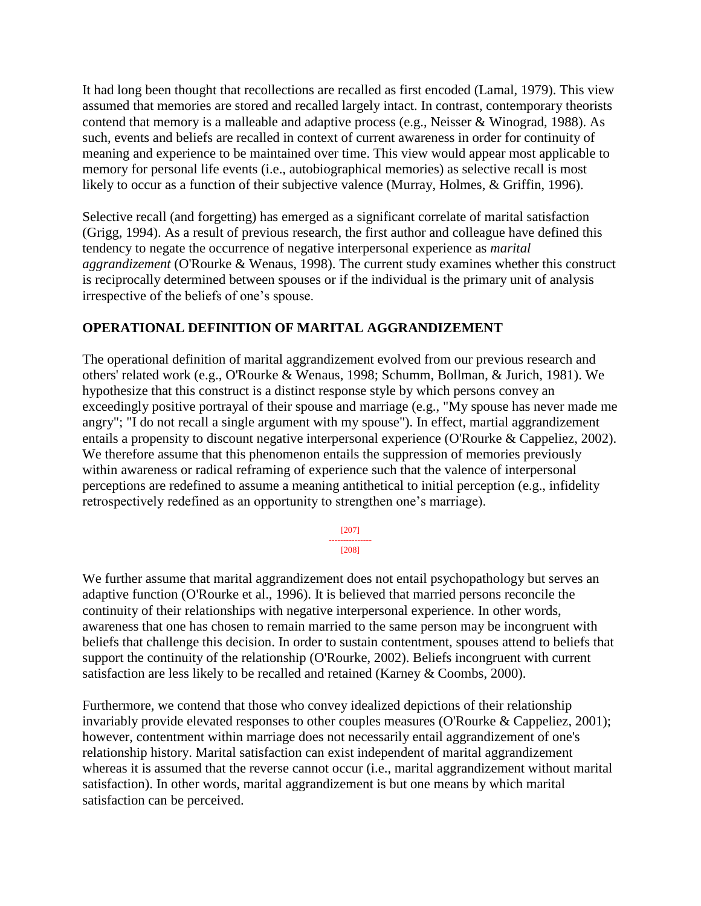It had long been thought that recollections are recalled as first encoded (Lamal, 1979). This view assumed that memories are stored and recalled largely intact. In contrast, contemporary theorists contend that memory is a malleable and adaptive process (e.g., Neisser & Winograd, 1988). As such, events and beliefs are recalled in context of current awareness in order for continuity of meaning and experience to be maintained over time. This view would appear most applicable to memory for personal life events (i.e., autobiographical memories) as selective recall is most likely to occur as a function of their subjective valence (Murray, Holmes, & Griffin, 1996).

Selective recall (and forgetting) has emerged as a significant correlate of marital satisfaction (Grigg, 1994). As a result of previous research, the first author and colleague have defined this tendency to negate the occurrence of negative interpersonal experience as *marital aggrandizement* (O'Rourke & Wenaus, 1998). The current study examines whether this construct is reciprocally determined between spouses or if the individual is the primary unit of analysis irrespective of the beliefs of one's spouse.

### **OPERATIONAL DEFINITION OF MARITAL AGGRANDIZEMENT**

The operational definition of marital aggrandizement evolved from our previous research and others' related work (e.g., O'Rourke & Wenaus, 1998; Schumm, Bollman, & Jurich, 1981). We hypothesize that this construct is a distinct response style by which persons convey an exceedingly positive portrayal of their spouse and marriage (e.g., "My spouse has never made me angry"; "I do not recall a single argument with my spouse"). In effect, martial aggrandizement entails a propensity to discount negative interpersonal experience (O'Rourke & Cappeliez, 2002). We therefore assume that this phenomenon entails the suppression of memories previously within awareness or radical reframing of experience such that the valence of interpersonal perceptions are redefined to assume a meaning antithetical to initial perception (e.g., infidelity retrospectively redefined as an opportunity to strengthen one's marriage).

> [207] --------------- [208]

We further assume that marital aggrandizement does not entail psychopathology but serves an adaptive function (O'Rourke et al., 1996). It is believed that married persons reconcile the continuity of their relationships with negative interpersonal experience. In other words, awareness that one has chosen to remain married to the same person may be incongruent with beliefs that challenge this decision. In order to sustain contentment, spouses attend to beliefs that support the continuity of the relationship (O'Rourke, 2002). Beliefs incongruent with current satisfaction are less likely to be recalled and retained (Karney & Coombs, 2000).

Furthermore, we contend that those who convey idealized depictions of their relationship invariably provide elevated responses to other couples measures (O'Rourke & Cappeliez, 2001); however, contentment within marriage does not necessarily entail aggrandizement of one's relationship history. Marital satisfaction can exist independent of marital aggrandizement whereas it is assumed that the reverse cannot occur (i.e., marital aggrandizement without marital satisfaction). In other words, marital aggrandizement is but one means by which marital satisfaction can be perceived.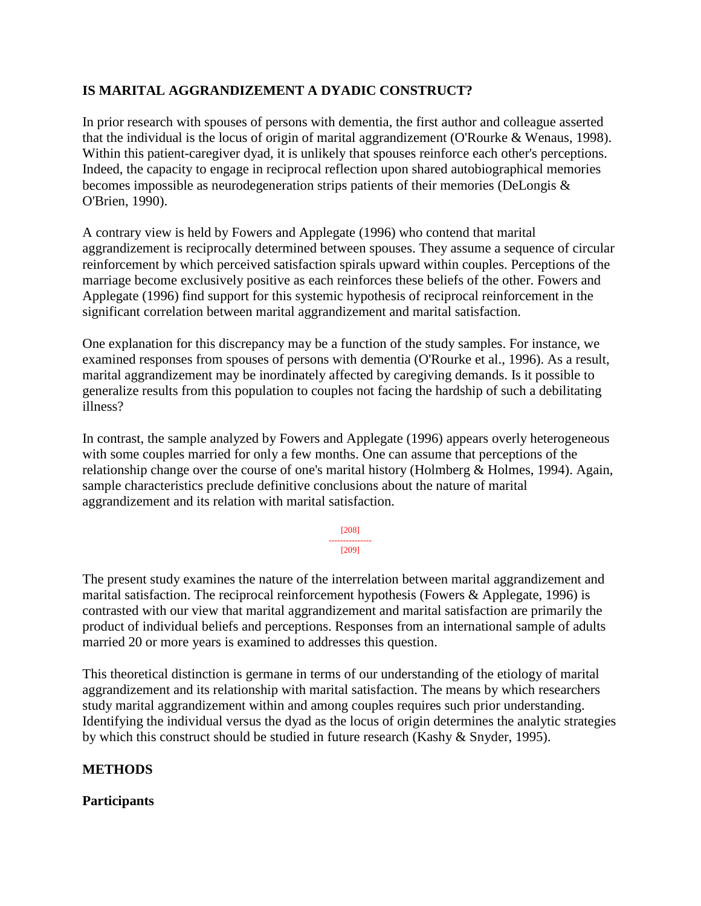### **IS MARITAL AGGRANDIZEMENT A DYADIC CONSTRUCT?**

In prior research with spouses of persons with dementia, the first author and colleague asserted that the individual is the locus of origin of marital aggrandizement (O'Rourke & Wenaus, 1998). Within this patient-caregiver dyad, it is unlikely that spouses reinforce each other's perceptions. Indeed, the capacity to engage in reciprocal reflection upon shared autobiographical memories becomes impossible as neurodegeneration strips patients of their memories (DeLongis & O'Brien, 1990).

A contrary view is held by Fowers and Applegate (1996) who contend that marital aggrandizement is reciprocally determined between spouses. They assume a sequence of circular reinforcement by which perceived satisfaction spirals upward within couples. Perceptions of the marriage become exclusively positive as each reinforces these beliefs of the other. Fowers and Applegate (1996) find support for this systemic hypothesis of reciprocal reinforcement in the significant correlation between marital aggrandizement and marital satisfaction.

One explanation for this discrepancy may be a function of the study samples. For instance, we examined responses from spouses of persons with dementia (O'Rourke et al., 1996). As a result, marital aggrandizement may be inordinately affected by caregiving demands. Is it possible to generalize results from this population to couples not facing the hardship of such a debilitating illness?

In contrast, the sample analyzed by Fowers and Applegate (1996) appears overly heterogeneous with some couples married for only a few months. One can assume that perceptions of the relationship change over the course of one's marital history (Holmberg & Holmes, 1994). Again, sample characteristics preclude definitive conclusions about the nature of marital aggrandizement and its relation with marital satisfaction.

> [208] --------------- [209]

The present study examines the nature of the interrelation between marital aggrandizement and marital satisfaction. The reciprocal reinforcement hypothesis (Fowers & Applegate, 1996) is contrasted with our view that marital aggrandizement and marital satisfaction are primarily the product of individual beliefs and perceptions. Responses from an international sample of adults married 20 or more years is examined to addresses this question.

This theoretical distinction is germane in terms of our understanding of the etiology of marital aggrandizement and its relationship with marital satisfaction. The means by which researchers study marital aggrandizement within and among couples requires such prior understanding. Identifying the individual versus the dyad as the locus of origin determines the analytic strategies by which this construct should be studied in future research (Kashy & Snyder, 1995).

### **METHODS**

### **Participants**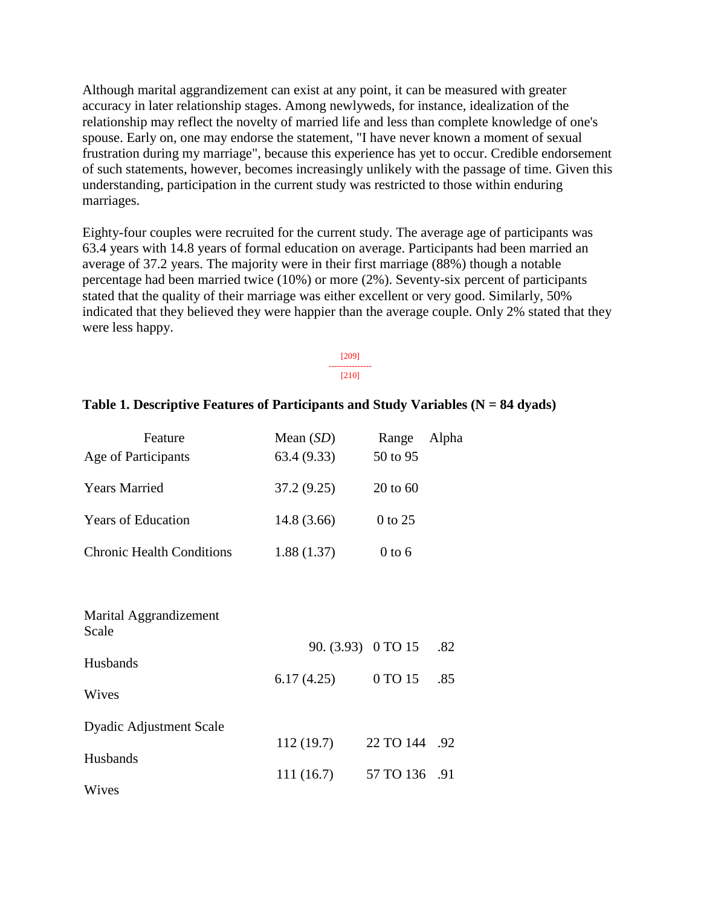Although marital aggrandizement can exist at any point, it can be measured with greater accuracy in later relationship stages. Among newlyweds, for instance, idealization of the relationship may reflect the novelty of married life and less than complete knowledge of one's spouse. Early on, one may endorse the statement, "I have never known a moment of sexual frustration during my marriage", because this experience has yet to occur. Credible endorsement of such statements, however, becomes increasingly unlikely with the passage of time. Given this understanding, participation in the current study was restricted to those within enduring marriages.

Eighty-four couples were recruited for the current study. The average age of participants was 63.4 years with 14.8 years of formal education on average. Participants had been married an average of 37.2 years. The majority were in their first marriage (88%) though a notable percentage had been married twice (10%) or more (2%). Seventy-six percent of participants stated that the quality of their marriage was either excellent or very good. Similarly, 50% indicated that they believed they were happier than the average couple. Only 2% stated that they were less happy.

> [209] --------------- [210]

### **Table 1. Descriptive Features of Participants and Study Variables (N = 84 dyads)**

| Feature                          | Mean $(SD)$ | Alpha<br>Range |
|----------------------------------|-------------|----------------|
| Age of Participants              | 63.4(9.33)  | 50 to 95       |
| <b>Years Married</b>             | 37.2(9.25)  | $20$ to 60     |
| <b>Years of Education</b>        | 14.8(3.66)  | 0 to 25        |
| <b>Chronic Health Conditions</b> | 1.88(1.37)  | $0$ to 6       |

| Marital Aggrandizement<br>Scale |            |                        |     |
|---------------------------------|------------|------------------------|-----|
|                                 |            | 90. (3.93) 0 TO 15 .82 |     |
| Husbands<br>Wives               | 6.17(4.25) | 0 TO 15                | .85 |
| <b>Dyadic Adjustment Scale</b>  |            |                        |     |
| Husbands                        | 112(19.7)  | 22 TO 144 .92          |     |
|                                 | 111(16.7)  | 57 TO 136 .91          |     |
| Wives                           |            |                        |     |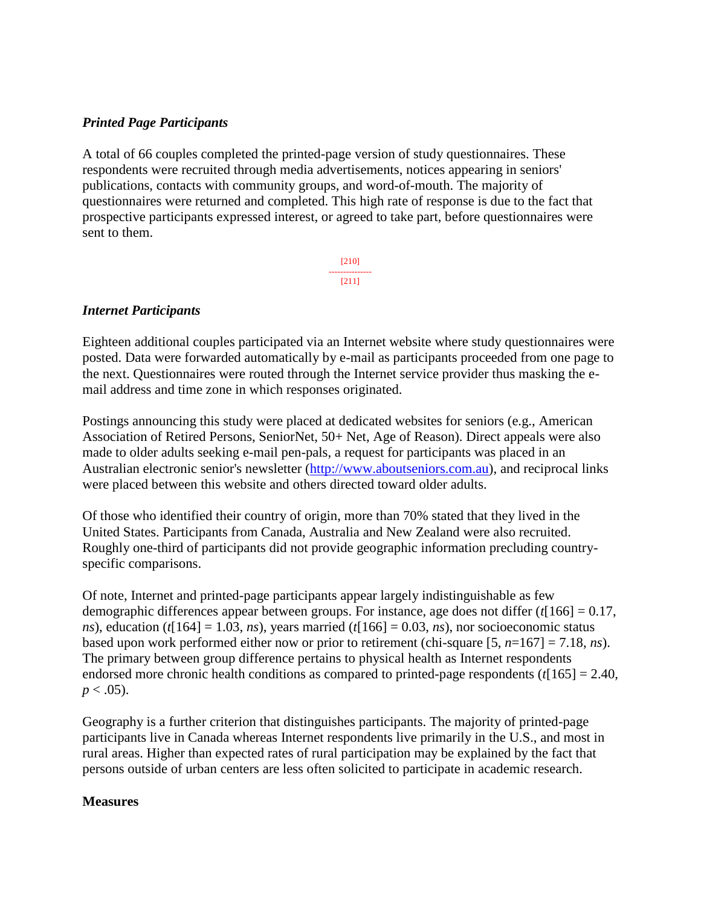### *Printed Page Participants*

A total of 66 couples completed the printed-page version of study questionnaires. These respondents were recruited through media advertisements, notices appearing in seniors' publications, contacts with community groups, and word-of-mouth. The majority of questionnaires were returned and completed. This high rate of response is due to the fact that prospective participants expressed interest, or agreed to take part, before questionnaires were sent to them.

> [210] --------------- [211]

### *Internet Participants*

Eighteen additional couples participated via an Internet website where study questionnaires were posted. Data were forwarded automatically by e-mail as participants proceeded from one page to the next. Questionnaires were routed through the Internet service provider thus masking the email address and time zone in which responses originated.

Postings announcing this study were placed at dedicated websites for seniors (e.g., American Association of Retired Persons, SeniorNet, 50+ Net, Age of Reason). Direct appeals were also made to older adults seeking e-mail pen-pals, a request for participants was placed in an Australian electronic senior's newsletter [\(http://www.aboutseniors.com.au\)](http://www.aboutseniors.com.au/), and reciprocal links were placed between this website and others directed toward older adults.

Of those who identified their country of origin, more than 70% stated that they lived in the United States. Participants from Canada, Australia and New Zealand were also recruited. Roughly one-third of participants did not provide geographic information precluding countryspecific comparisons.

Of note, Internet and printed-page participants appear largely indistinguishable as few demographic differences appear between groups. For instance, age does not differ (*t*[166] = 0.17, *ns*), education ( $t[164] = 1.03$ , *ns*), years married ( $t[166] = 0.03$ , *ns*), nor socioeconomic status based upon work performed either now or prior to retirement (chi-square [5, *n*=167] = 7.18, *ns*). The primary between group difference pertains to physical health as Internet respondents endorsed more chronic health conditions as compared to printed-page respondents (*t*[165] = 2.40,  $p < .05$ ).

Geography is a further criterion that distinguishes participants. The majority of printed-page participants live in Canada whereas Internet respondents live primarily in the U.S., and most in rural areas. Higher than expected rates of rural participation may be explained by the fact that persons outside of urban centers are less often solicited to participate in academic research.

### **Measures**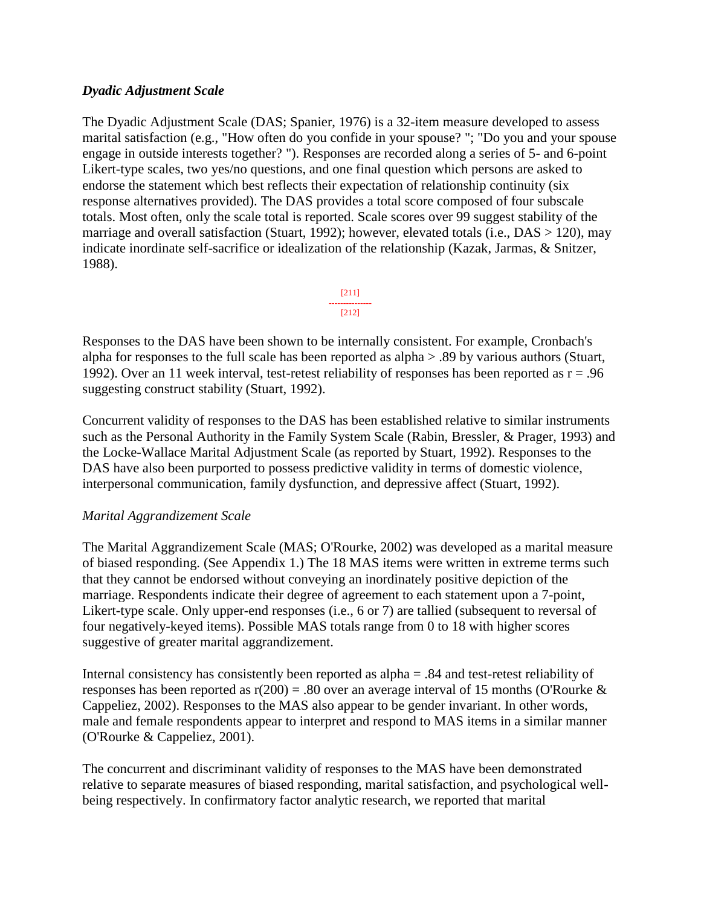### *Dyadic Adjustment Scale*

The Dyadic Adjustment Scale (DAS; Spanier, 1976) is a 32-item measure developed to assess marital satisfaction (e.g., "How often do you confide in your spouse? "; "Do you and your spouse engage in outside interests together? "). Responses are recorded along a series of 5- and 6-point Likert-type scales, two yes/no questions, and one final question which persons are asked to endorse the statement which best reflects their expectation of relationship continuity (six response alternatives provided). The DAS provides a total score composed of four subscale totals. Most often, only the scale total is reported. Scale scores over 99 suggest stability of the marriage and overall satisfaction (Stuart, 1992); however, elevated totals (i.e., DAS > 120), may indicate inordinate self-sacrifice or idealization of the relationship (Kazak, Jarmas, & Snitzer, 1988).



Responses to the DAS have been shown to be internally consistent. For example, Cronbach's alpha for responses to the full scale has been reported as alpha > .89 by various authors (Stuart, 1992). Over an 11 week interval, test-retest reliability of responses has been reported as  $r = .96$ suggesting construct stability (Stuart, 1992).

Concurrent validity of responses to the DAS has been established relative to similar instruments such as the Personal Authority in the Family System Scale (Rabin, Bressler, & Prager, 1993) and the Locke-Wallace Marital Adjustment Scale (as reported by Stuart, 1992). Responses to the DAS have also been purported to possess predictive validity in terms of domestic violence, interpersonal communication, family dysfunction, and depressive affect (Stuart, 1992).

### *Marital Aggrandizement Scale*

The Marital Aggrandizement Scale (MAS; O'Rourke, 2002) was developed as a marital measure of biased responding. (See Appendix 1.) The 18 MAS items were written in extreme terms such that they cannot be endorsed without conveying an inordinately positive depiction of the marriage. Respondents indicate their degree of agreement to each statement upon a 7-point, Likert-type scale. Only upper-end responses (i.e., 6 or 7) are tallied (subsequent to reversal of four negatively-keyed items). Possible MAS totals range from 0 to 18 with higher scores suggestive of greater marital aggrandizement.

Internal consistency has consistently been reported as alpha = .84 and test-retest reliability of responses has been reported as  $r(200) = .80$  over an average interval of 15 months (O'Rourke & Cappeliez, 2002). Responses to the MAS also appear to be gender invariant. In other words, male and female respondents appear to interpret and respond to MAS items in a similar manner (O'Rourke & Cappeliez, 2001).

The concurrent and discriminant validity of responses to the MAS have been demonstrated relative to separate measures of biased responding, marital satisfaction, and psychological wellbeing respectively. In confirmatory factor analytic research, we reported that marital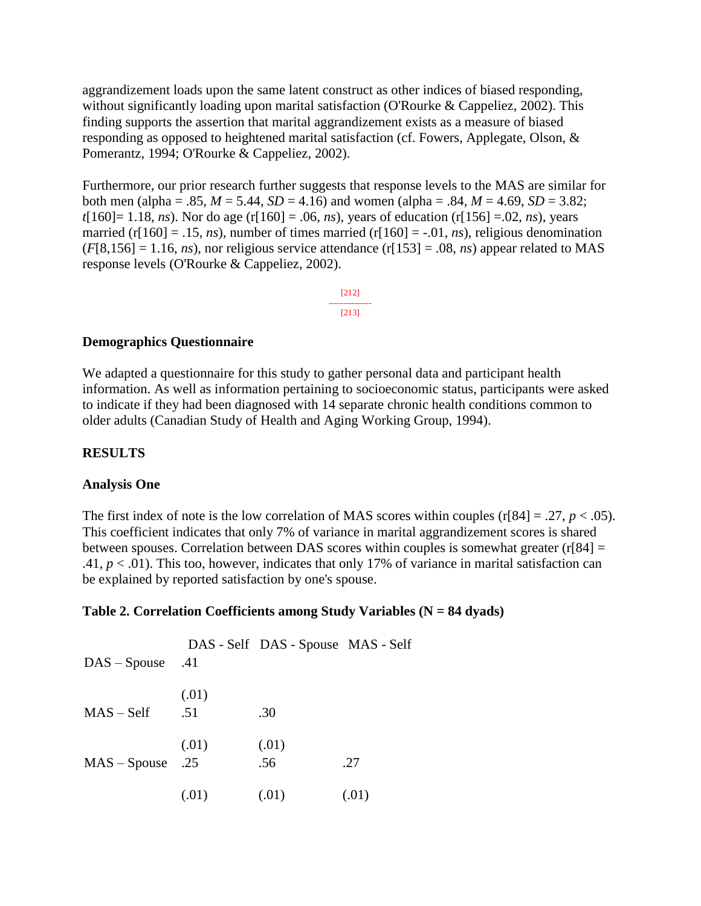aggrandizement loads upon the same latent construct as other indices of biased responding, without significantly loading upon marital satisfaction (O'Rourke & Cappeliez, 2002). This finding supports the assertion that marital aggrandizement exists as a measure of biased responding as opposed to heightened marital satisfaction (cf. Fowers, Applegate, Olson, & Pomerantz, 1994; O'Rourke & Cappeliez, 2002).

Furthermore, our prior research further suggests that response levels to the MAS are similar for both men (alpha = .85,  $M = 5.44$ ,  $SD = 4.16$ ) and women (alpha = .84,  $M = 4.69$ ,  $SD = 3.82$ ; *t*[160] = 1.18, *ns*). Nor do age (r[160] = .06, *ns*), years of education (r[156] = .02, *ns*), years married (r[160] = .15, *ns*), number of times married (r[160] = -.01, *ns*), religious denomination  $(F[8,156] = 1.16, ns)$ , nor religious service attendance  $(r[153] = .08, ns)$  appear related to MAS response levels (O'Rourke & Cappeliez, 2002).

> [212] --------------- [213]

### **Demographics Questionnaire**

We adapted a questionnaire for this study to gather personal data and participant health information. As well as information pertaining to socioeconomic status, participants were asked to indicate if they had been diagnosed with 14 separate chronic health conditions common to older adults (Canadian Study of Health and Aging Working Group, 1994).

#### **RESULTS**

#### **Analysis One**

The first index of note is the low correlation of MAS scores within couples (r[84] = .27,  $p < .05$ ). This coefficient indicates that only 7% of variance in marital aggrandizement scores is shared between spouses. Correlation between DAS scores within couples is somewhat greater  $(r[84] =$ .41,  $p < .01$ ). This too, however, indicates that only 17% of variance in marital satisfaction can be explained by reported satisfaction by one's spouse.

#### **Table 2. Correlation Coefficients among Study Variables (N = 84 dyads)**

| $DAS - Spouse$ .41 |              | DAS - Self DAS - Spouse MAS - Self |       |
|--------------------|--------------|------------------------------------|-------|
| $MAS - Self$       | (.01)<br>.51 | .30                                |       |
| $MAS - Spouse$ .25 | (.01)        | (.01)<br>.56                       | .27   |
|                    | (.01)        | (.01)                              | (.01) |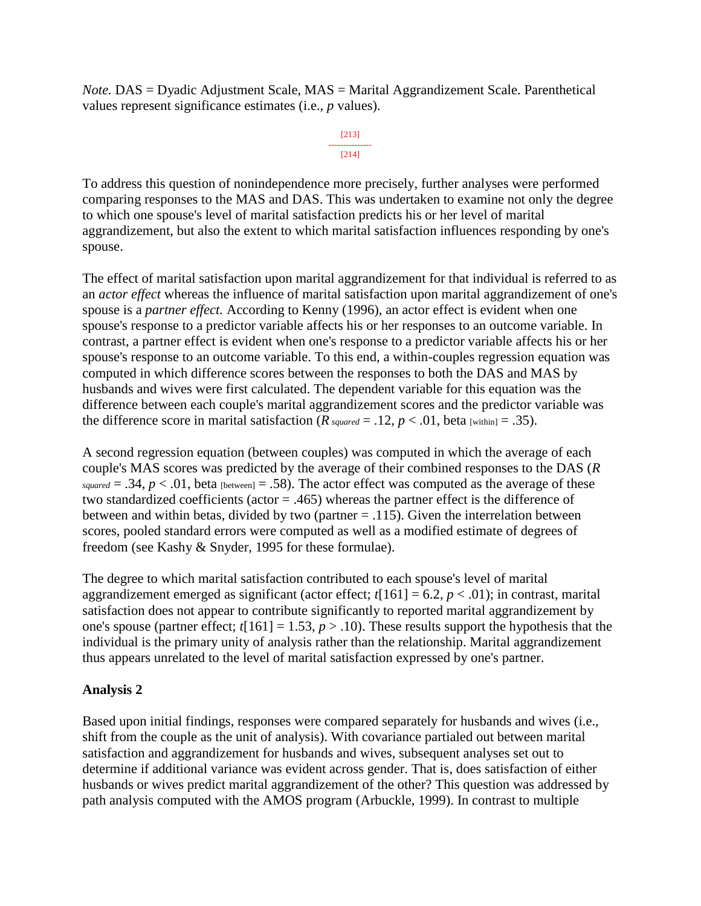*Note.* DAS = Dyadic Adjustment Scale, MAS = Marital Aggrandizement Scale. Parenthetical values represent significance estimates (i.e., *p* values).

#### [213] --------------- [214]

To address this question of nonindependence more precisely, further analyses were performed comparing responses to the MAS and DAS. This was undertaken to examine not only the degree to which one spouse's level of marital satisfaction predicts his or her level of marital aggrandizement, but also the extent to which marital satisfaction influences responding by one's spouse.

The effect of marital satisfaction upon marital aggrandizement for that individual is referred to as an *actor effect* whereas the influence of marital satisfaction upon marital aggrandizement of one's spouse is a *partner effect.* According to Kenny (1996), an actor effect is evident when one spouse's response to a predictor variable affects his or her responses to an outcome variable. In contrast, a partner effect is evident when one's response to a predictor variable affects his or her spouse's response to an outcome variable. To this end, a within-couples regression equation was computed in which difference scores between the responses to both the DAS and MAS by husbands and wives were first calculated. The dependent variable for this equation was the difference between each couple's marital aggrandizement scores and the predictor variable was the difference score in marital satisfaction ( $R_{squared} = .12$ ,  $p < .01$ , beta [within] = .35).

A second regression equation (between couples) was computed in which the average of each couple's MAS scores was predicted by the average of their combined responses to the DAS (*R*  $squared = .34$ ,  $p < .01$ , beta [between] = .58). The actor effect was computed as the average of these two standardized coefficients (actor = .465) whereas the partner effect is the difference of between and within betas, divided by two (partner  $= .115$ ). Given the interrelation between scores, pooled standard errors were computed as well as a modified estimate of degrees of freedom (see Kashy & Snyder, 1995 for these formulae).

The degree to which marital satisfaction contributed to each spouse's level of marital aggrandizement emerged as significant (actor effect;  $t[161] = 6.2$ ,  $p < .01$ ); in contrast, marital satisfaction does not appear to contribute significantly to reported marital aggrandizement by one's spouse (partner effect;  $t[161] = 1.53$ ,  $p > .10$ ). These results support the hypothesis that the individual is the primary unity of analysis rather than the relationship. Marital aggrandizement thus appears unrelated to the level of marital satisfaction expressed by one's partner.

### **Analysis 2**

Based upon initial findings, responses were compared separately for husbands and wives (i.e., shift from the couple as the unit of analysis). With covariance partialed out between marital satisfaction and aggrandizement for husbands and wives, subsequent analyses set out to determine if additional variance was evident across gender. That is, does satisfaction of either husbands or wives predict marital aggrandizement of the other? This question was addressed by path analysis computed with the AMOS program (Arbuckle, 1999). In contrast to multiple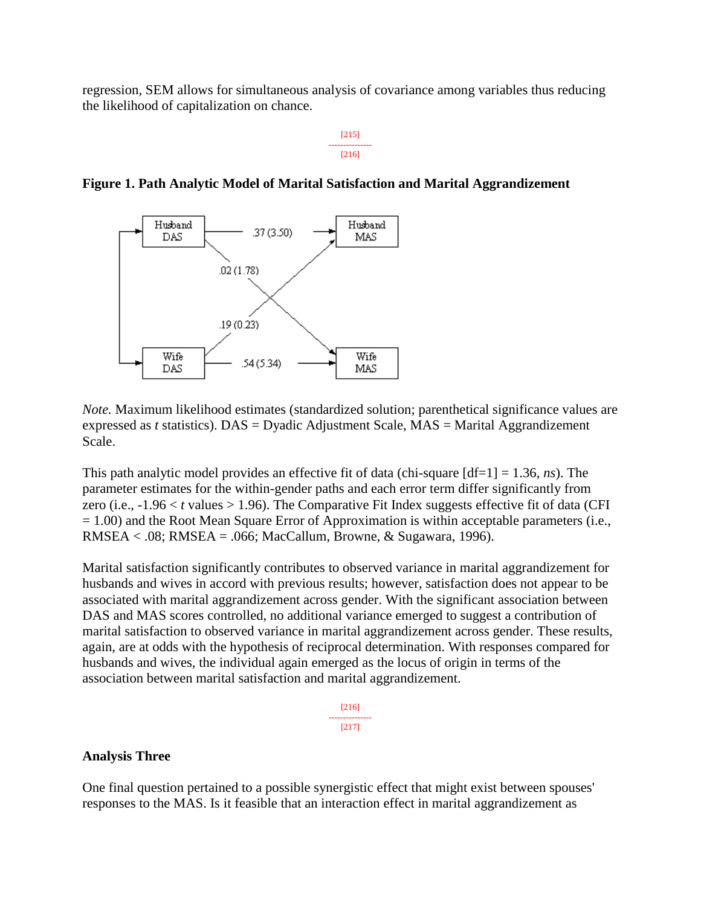regression, SEM allows for simultaneous analysis of covariance among variables thus reducing the likelihood of capitalization on chance.

> [215] --------------- [216]



**Figure 1. Path Analytic Model of Marital Satisfaction and Marital Aggrandizement**

*Note.* Maximum likelihood estimates (standardized solution; parenthetical significance values are expressed as *t* statistics). DAS = Dyadic Adjustment Scale, MAS = Marital Aggrandizement Scale.

This path analytic model provides an effective fit of data (chi-square [df=1] = 1.36, *ns*). The parameter estimates for the within-gender paths and each error term differ significantly from zero (i.e.,  $-1.96 < t$  values  $> 1.96$ ). The Comparative Fit Index suggests effective fit of data (CFI  $= 1.00$ ) and the Root Mean Square Error of Approximation is within acceptable parameters (i.e., RMSEA < .08; RMSEA = .066; MacCallum, Browne, & Sugawara, 1996).

Marital satisfaction significantly contributes to observed variance in marital aggrandizement for husbands and wives in accord with previous results; however, satisfaction does not appear to be associated with marital aggrandizement across gender. With the significant association between DAS and MAS scores controlled, no additional variance emerged to suggest a contribution of marital satisfaction to observed variance in marital aggrandizement across gender. These results, again, are at odds with the hypothesis of reciprocal determination. With responses compared for husbands and wives, the individual again emerged as the locus of origin in terms of the association between marital satisfaction and marital aggrandizement.

> [216] --------------- [217]

#### **Analysis Three**

One final question pertained to a possible synergistic effect that might exist between spouses' responses to the MAS. Is it feasible that an interaction effect in marital aggrandizement as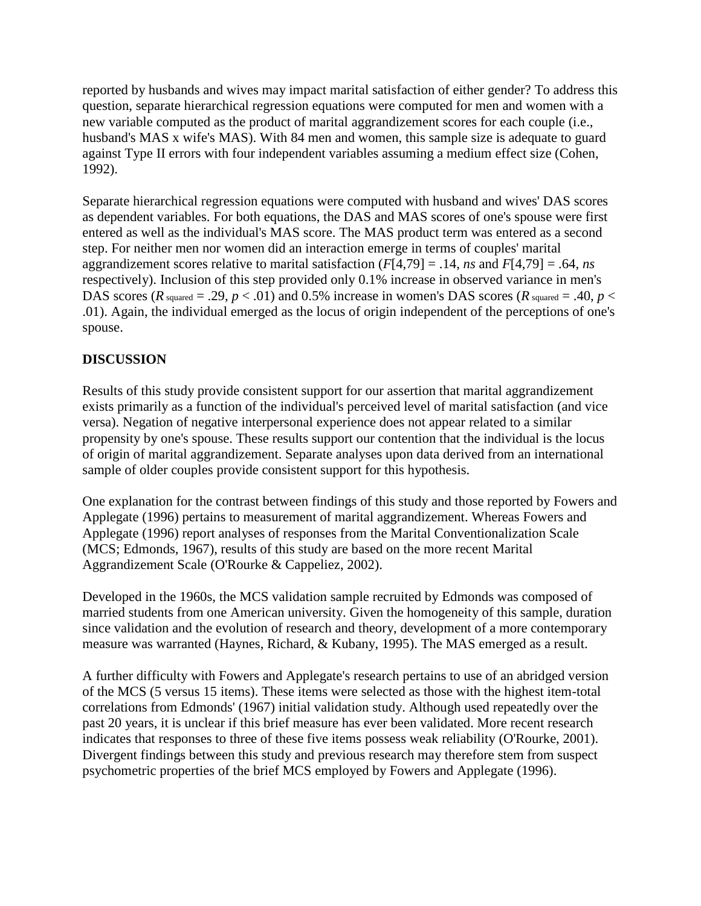reported by husbands and wives may impact marital satisfaction of either gender? To address this question, separate hierarchical regression equations were computed for men and women with a new variable computed as the product of marital aggrandizement scores for each couple (i.e., husband's MAS x wife's MAS). With 84 men and women, this sample size is adequate to guard against Type II errors with four independent variables assuming a medium effect size (Cohen, 1992).

Separate hierarchical regression equations were computed with husband and wives' DAS scores as dependent variables. For both equations, the DAS and MAS scores of one's spouse were first entered as well as the individual's MAS score. The MAS product term was entered as a second step. For neither men nor women did an interaction emerge in terms of couples' marital aggrandizement scores relative to marital satisfaction (*F*[4,79] = .14, *ns* and *F*[4,79] = .64, *ns* respectively). Inclusion of this step provided only 0.1% increase in observed variance in men's DAS scores ( $R$  squared = .29,  $p < .01$ ) and 0.5% increase in women's DAS scores ( $R$  squared = .40,  $p <$ .01). Again, the individual emerged as the locus of origin independent of the perceptions of one's spouse.

## **DISCUSSION**

Results of this study provide consistent support for our assertion that marital aggrandizement exists primarily as a function of the individual's perceived level of marital satisfaction (and vice versa). Negation of negative interpersonal experience does not appear related to a similar propensity by one's spouse. These results support our contention that the individual is the locus of origin of marital aggrandizement. Separate analyses upon data derived from an international sample of older couples provide consistent support for this hypothesis.

One explanation for the contrast between findings of this study and those reported by Fowers and Applegate (1996) pertains to measurement of marital aggrandizement. Whereas Fowers and Applegate (1996) report analyses of responses from the Marital Conventionalization Scale (MCS; Edmonds, 1967), results of this study are based on the more recent Marital Aggrandizement Scale (O'Rourke & Cappeliez, 2002).

Developed in the 1960s, the MCS validation sample recruited by Edmonds was composed of married students from one American university. Given the homogeneity of this sample, duration since validation and the evolution of research and theory, development of a more contemporary measure was warranted (Haynes, Richard, & Kubany, 1995). The MAS emerged as a result.

A further difficulty with Fowers and Applegate's research pertains to use of an abridged version of the MCS (5 versus 15 items). These items were selected as those with the highest item-total correlations from Edmonds' (1967) initial validation study. Although used repeatedly over the past 20 years, it is unclear if this brief measure has ever been validated. More recent research indicates that responses to three of these five items possess weak reliability (O'Rourke, 2001). Divergent findings between this study and previous research may therefore stem from suspect psychometric properties of the brief MCS employed by Fowers and Applegate (1996).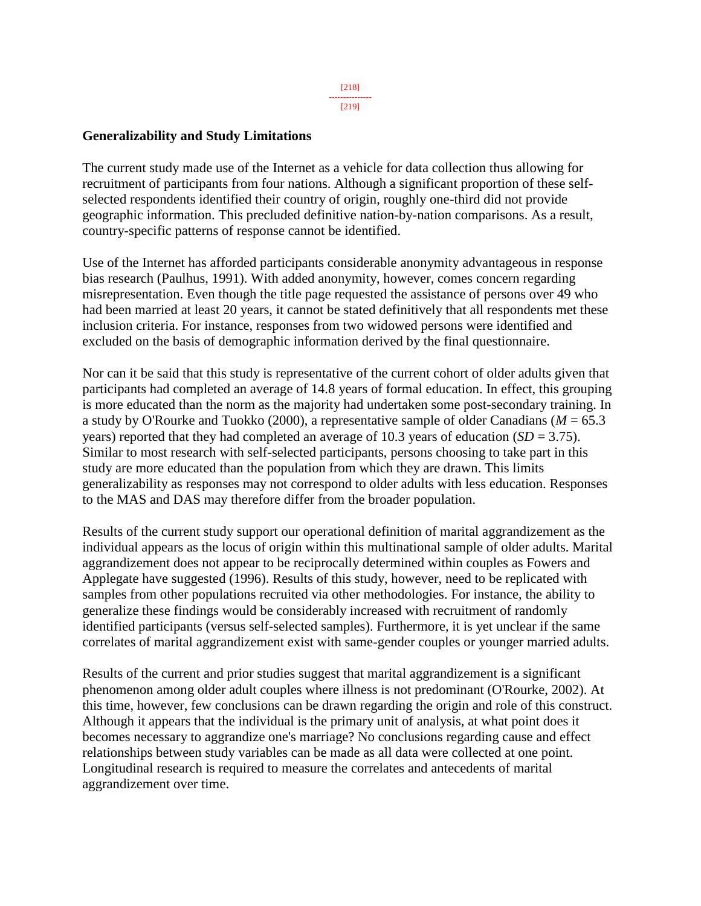### **Generalizability and Study Limitations**

The current study made use of the Internet as a vehicle for data collection thus allowing for recruitment of participants from four nations. Although a significant proportion of these selfselected respondents identified their country of origin, roughly one-third did not provide geographic information. This precluded definitive nation-by-nation comparisons. As a result, country-specific patterns of response cannot be identified.

Use of the Internet has afforded participants considerable anonymity advantageous in response bias research (Paulhus, 1991). With added anonymity, however, comes concern regarding misrepresentation. Even though the title page requested the assistance of persons over 49 who had been married at least 20 years, it cannot be stated definitively that all respondents met these inclusion criteria. For instance, responses from two widowed persons were identified and excluded on the basis of demographic information derived by the final questionnaire.

Nor can it be said that this study is representative of the current cohort of older adults given that participants had completed an average of 14.8 years of formal education. In effect, this grouping is more educated than the norm as the majority had undertaken some post-secondary training. In a study by O'Rourke and Tuokko (2000), a representative sample of older Canadians (*M* = 65.3 years) reported that they had completed an average of 10.3 years of education (*SD* = 3.75). Similar to most research with self-selected participants, persons choosing to take part in this study are more educated than the population from which they are drawn. This limits generalizability as responses may not correspond to older adults with less education. Responses to the MAS and DAS may therefore differ from the broader population.

Results of the current study support our operational definition of marital aggrandizement as the individual appears as the locus of origin within this multinational sample of older adults. Marital aggrandizement does not appear to be reciprocally determined within couples as Fowers and Applegate have suggested (1996). Results of this study, however, need to be replicated with samples from other populations recruited via other methodologies. For instance, the ability to generalize these findings would be considerably increased with recruitment of randomly identified participants (versus self-selected samples). Furthermore, it is yet unclear if the same correlates of marital aggrandizement exist with same-gender couples or younger married adults.

Results of the current and prior studies suggest that marital aggrandizement is a significant phenomenon among older adult couples where illness is not predominant (O'Rourke, 2002). At this time, however, few conclusions can be drawn regarding the origin and role of this construct. Although it appears that the individual is the primary unit of analysis, at what point does it becomes necessary to aggrandize one's marriage? No conclusions regarding cause and effect relationships between study variables can be made as all data were collected at one point. Longitudinal research is required to measure the correlates and antecedents of marital aggrandizement over time.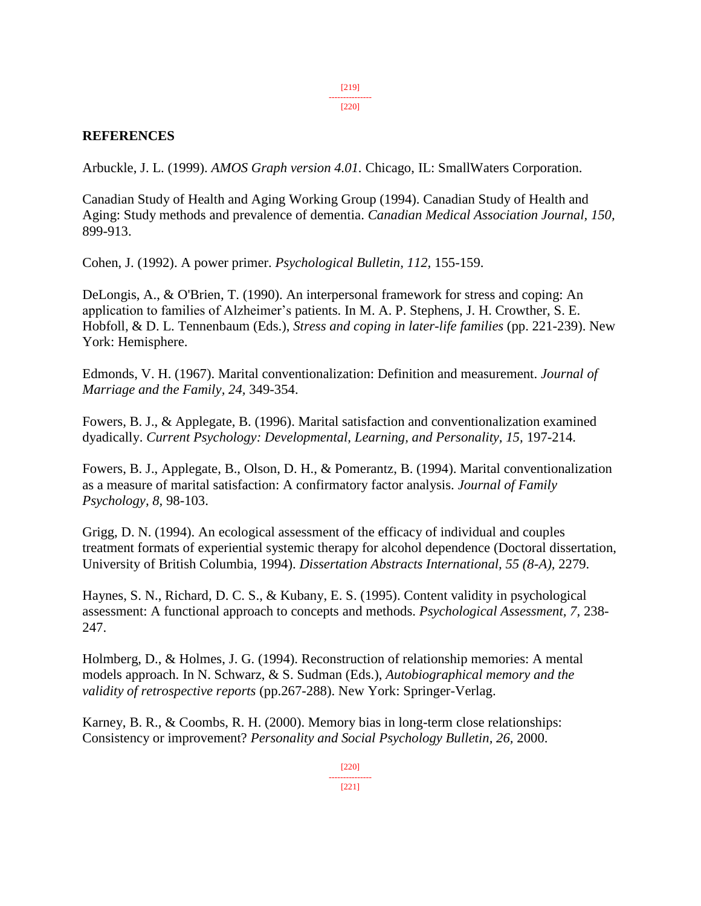[219] ---------------

[220]

### **REFERENCES**

Arbuckle, J. L. (1999). *AMOS Graph version 4.01.* Chicago, IL: SmallWaters Corporation.

Canadian Study of Health and Aging Working Group (1994). Canadian Study of Health and Aging: Study methods and prevalence of dementia. *Canadian Medical Association Journal, 150,* 899-913.

Cohen, J. (1992). A power primer. *Psychological Bulletin, 112,* 155-159.

DeLongis, A., & O'Brien, T. (1990). An interpersonal framework for stress and coping: An application to families of Alzheimer's patients. In M. A. P. Stephens, J. H. Crowther, S. E. Hobfoll, & D. L. Tennenbaum (Eds.), *Stress and coping in later-life families* (pp. 221-239). New York: Hemisphere.

Edmonds, V. H. (1967). Marital conventionalization: Definition and measurement. *Journal of Marriage and the Family, 24,* 349-354.

Fowers, B. J., & Applegate, B. (1996). Marital satisfaction and conventionalization examined dyadically. *Current Psychology: Developmental, Learning, and Personality, 15,* 197-214.

Fowers, B. J., Applegate, B., Olson, D. H., & Pomerantz, B. (1994). Marital conventionalization as a measure of marital satisfaction: A confirmatory factor analysis. *Journal of Family Psychology, 8,* 98-103.

Grigg, D. N. (1994). An ecological assessment of the efficacy of individual and couples treatment formats of experiential systemic therapy for alcohol dependence (Doctoral dissertation, University of British Columbia, 1994). *Dissertation Abstracts International, 55 (8-A),* 2279.

Haynes, S. N., Richard, D. C. S., & Kubany, E. S. (1995). Content validity in psychological assessment: A functional approach to concepts and methods. *Psychological Assessment, 7,* 238- 247.

Holmberg, D., & Holmes, J. G. (1994). Reconstruction of relationship memories: A mental models approach. In N. Schwarz, & S. Sudman (Eds.), *Autobiographical memory and the validity of retrospective reports* (pp.267-288). New York: Springer-Verlag.

Karney, B. R., & Coombs, R. H. (2000). Memory bias in long-term close relationships: Consistency or improvement? *Personality and Social Psychology Bulletin, 26,* 2000.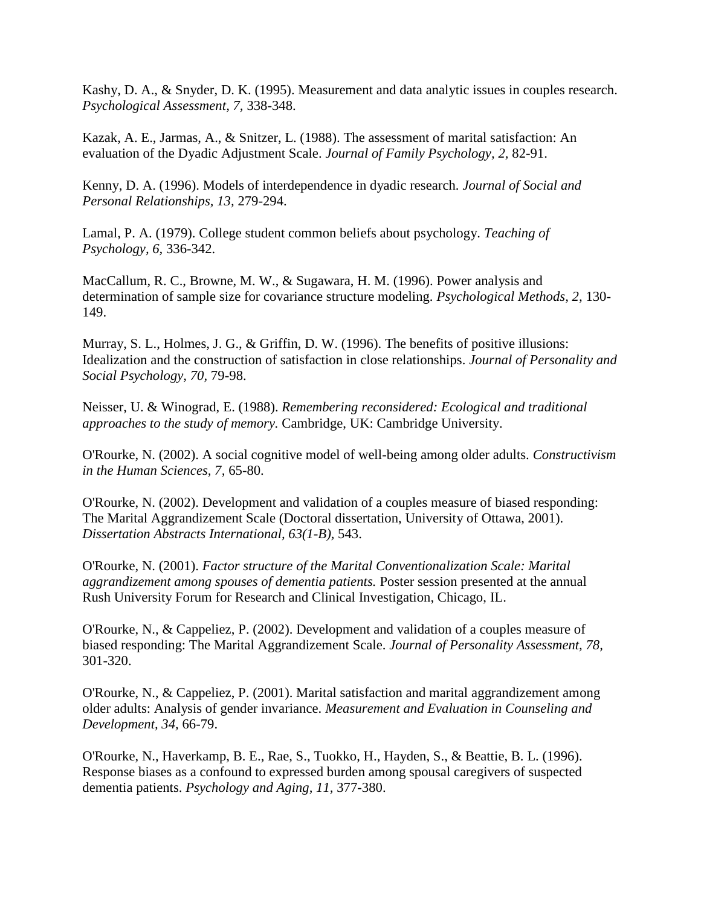Kashy, D. A., & Snyder, D. K. (1995). Measurement and data analytic issues in couples research. *Psychological Assessment, 7,* 338-348.

Kazak, A. E., Jarmas, A., & Snitzer, L. (1988). The assessment of marital satisfaction: An evaluation of the Dyadic Adjustment Scale. *Journal of Family Psychology, 2,* 82-91.

Kenny, D. A. (1996). Models of interdependence in dyadic research. *Journal of Social and Personal Relationships, 13,* 279-294.

Lamal, P. A. (1979). College student common beliefs about psychology. *Teaching of Psychology, 6,* 336-342.

MacCallum, R. C., Browne, M. W., & Sugawara, H. M. (1996). Power analysis and determination of sample size for covariance structure modeling. *Psychological Methods, 2,* 130- 149.

Murray, S. L., Holmes, J. G., & Griffin, D. W. (1996). The benefits of positive illusions: Idealization and the construction of satisfaction in close relationships. *Journal of Personality and Social Psychology, 70,* 79-98.

Neisser, U. & Winograd, E. (1988). *Remembering reconsidered: Ecological and traditional approaches to the study of memory.* Cambridge, UK: Cambridge University.

O'Rourke, N. (2002). A social cognitive model of well-being among older adults. *Constructivism in the Human Sciences, 7,* 65-80.

O'Rourke, N. (2002). Development and validation of a couples measure of biased responding: The Marital Aggrandizement Scale (Doctoral dissertation, University of Ottawa, 2001). *Dissertation Abstracts International, 63(1-B),* 543.

O'Rourke, N. (2001). *Factor structure of the Marital Conventionalization Scale: Marital aggrandizement among spouses of dementia patients.* Poster session presented at the annual Rush University Forum for Research and Clinical Investigation, Chicago, IL.

O'Rourke, N., & Cappeliez, P. (2002). Development and validation of a couples measure of biased responding: The Marital Aggrandizement Scale. *Journal of Personality Assessment, 78,* 301-320.

O'Rourke, N., & Cappeliez, P. (2001). Marital satisfaction and marital aggrandizement among older adults: Analysis of gender invariance. *Measurement and Evaluation in Counseling and Development, 34,* 66-79.

O'Rourke, N., Haverkamp, B. E., Rae, S., Tuokko, H., Hayden, S., & Beattie, B. L. (1996). Response biases as a confound to expressed burden among spousal caregivers of suspected dementia patients. *Psychology and Aging, 11,* 377-380.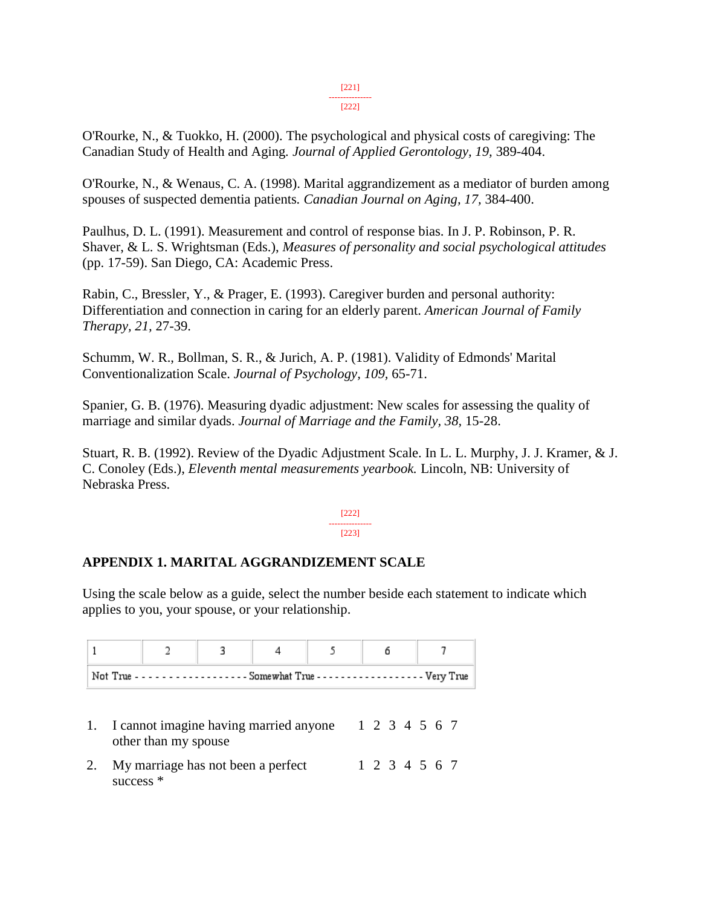#### [221] ---------------

#### [222]

O'Rourke, N., & Tuokko, H. (2000). The psychological and physical costs of caregiving: The Canadian Study of Health and Aging*. Journal of Applied Gerontology, 19,* 389-404.

O'Rourke, N., & Wenaus, C. A. (1998). Marital aggrandizement as a mediator of burden among spouses of suspected dementia patients*. Canadian Journal on Aging, 17,* 384-400.

Paulhus, D. L. (1991). Measurement and control of response bias. In J. P. Robinson, P. R. Shaver, & L. S. Wrightsman (Eds.), *Measures of personality and social psychological attitudes* (pp. 17-59). San Diego, CA: Academic Press.

Rabin, C., Bressler, Y., & Prager, E. (1993). Caregiver burden and personal authority: Differentiation and connection in caring for an elderly parent. *American Journal of Family Therapy, 21,* 27-39.

Schumm, W. R., Bollman, S. R., & Jurich, A. P. (1981). Validity of Edmonds' Marital Conventionalization Scale. *Journal of Psychology, 109,* 65-71.

Spanier, G. B. (1976). Measuring dyadic adjustment: New scales for assessing the quality of marriage and similar dyads. *Journal of Marriage and the Family, 38,* 15-28.

Stuart, R. B. (1992). Review of the Dyadic Adjustment Scale. In L. L. Murphy, J. J. Kramer, & J. C. Conoley (Eds.), *Eleventh mental measurements yearbook.* Lincoln, NB: University of Nebraska Press.

> [222] --------------- [223]

### **APPENDIX 1. MARITAL AGGRANDIZEMENT SCALE**

Using the scale below as a guide, select the number beside each statement to indicate which applies to you, your spouse, or your relationship.

|                                                                                                    |  |  | 2 3 4 5 6 |  |  |  |  |
|----------------------------------------------------------------------------------------------------|--|--|-----------|--|--|--|--|
| Not True - - - - - - - - - - - - - - - - Somewhat True - - - - - - - - - - - - - - - - - Very True |  |  |           |  |  |  |  |

- 1. I cannot imagine having married anyone 1 2 3 4 5 6 7 other than my spouse
- 2. My marriage has not been a perfect 1 2 3 4 5 6 7success \*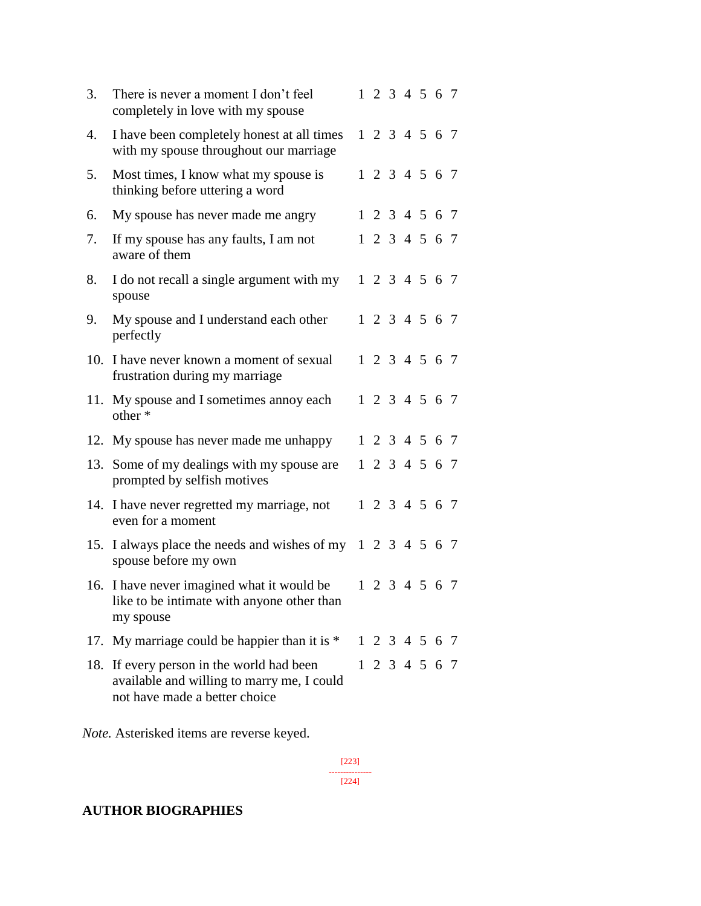| 3.  | There is never a moment I don't feel<br>completely in love with my spouse                                            |  | 1 2 3 4 5 6 7 |  |  |
|-----|----------------------------------------------------------------------------------------------------------------------|--|---------------|--|--|
| 4.  | I have been completely honest at all times<br>with my spouse throughout our marriage                                 |  | 1 2 3 4 5 6 7 |  |  |
| 5.  | Most times, I know what my spouse is<br>thinking before uttering a word                                              |  | 1 2 3 4 5 6 7 |  |  |
| 6.  | My spouse has never made me angry                                                                                    |  | 1 2 3 4 5 6 7 |  |  |
| 7.  | If my spouse has any faults, I am not<br>aware of them                                                               |  | 1 2 3 4 5 6 7 |  |  |
| 8.  | I do not recall a single argument with my<br>spouse                                                                  |  | 1 2 3 4 5 6 7 |  |  |
| 9.  | My spouse and I understand each other<br>perfectly                                                                   |  | 1 2 3 4 5 6 7 |  |  |
| 10. | I have never known a moment of sexual<br>frustration during my marriage                                              |  | 1 2 3 4 5 6 7 |  |  |
|     | 11. My spouse and I sometimes annoy each<br>other *                                                                  |  | 1 2 3 4 5 6 7 |  |  |
|     | 12. My spouse has never made me unhappy                                                                              |  | 1 2 3 4 5 6 7 |  |  |
| 13. | Some of my dealings with my spouse are<br>prompted by selfish motives                                                |  | 1 2 3 4 5 6 7 |  |  |
|     | 14. I have never regretted my marriage, not<br>even for a moment                                                     |  | 1 2 3 4 5 6 7 |  |  |
|     | 15. I always place the needs and wishes of my 1 2 3 4 5 6 7<br>spouse before my own                                  |  |               |  |  |
|     | 16. I have never imagined what it would be<br>like to be intimate with anyone other than<br>my spouse                |  | 1 2 3 4 5 6 7 |  |  |
| 17. | My marriage could be happier than it is *                                                                            |  | 1 2 3 4 5 6 7 |  |  |
| 18. | If every person in the world had been<br>available and willing to marry me, I could<br>not have made a better choice |  | 1 2 3 4 5 6 7 |  |  |

*Note.* Asterisked items are reverse keyed.

[223] --------------- [224]

### **AUTHOR BIOGRAPHIES**